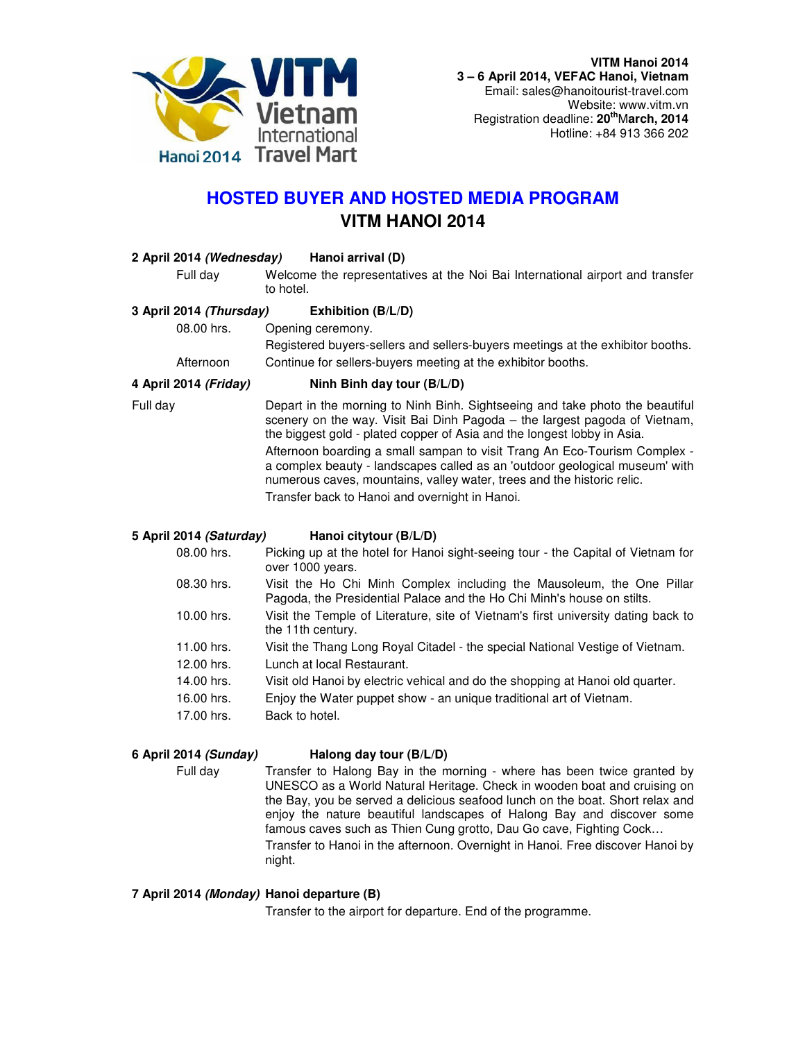

# **HOSTED BUYER AND HOSTED MEDIA PROGRAM VITM HANOI 2014**

| 2 April 2014 <i>(Wednesday)</i> | Hanoi arrival (D)                                                                                                                                                                                                                                                                                                                                                                                                                                                           |
|---------------------------------|-----------------------------------------------------------------------------------------------------------------------------------------------------------------------------------------------------------------------------------------------------------------------------------------------------------------------------------------------------------------------------------------------------------------------------------------------------------------------------|
| Full day                        | Welcome the representatives at the Noi Bai International airport and transfer<br>to hotel.                                                                                                                                                                                                                                                                                                                                                                                  |
| 3 April 2014 <i>(Thursdav)</i>  | Exhibition (B/L/D)                                                                                                                                                                                                                                                                                                                                                                                                                                                          |
| 08.00 hrs.                      | Opening ceremony.                                                                                                                                                                                                                                                                                                                                                                                                                                                           |
|                                 | Registered buyers-sellers and sellers-buyers meetings at the exhibitor booths.                                                                                                                                                                                                                                                                                                                                                                                              |
| Afternoon                       | Continue for sellers-buyers meeting at the exhibitor booths.                                                                                                                                                                                                                                                                                                                                                                                                                |
| 4 April 2014 <i>(Friday)</i>    | Ninh Binh day tour (B/L/D)                                                                                                                                                                                                                                                                                                                                                                                                                                                  |
| Full day                        | Depart in the morning to Ninh Binh. Sightseeing and take photo the beautiful<br>scenery on the way. Visit Bai Dinh Pagoda – the largest pagoda of Vietnam,<br>the biggest gold - plated copper of Asia and the longest lobby in Asia.<br>Afternoon boarding a small sampan to visit Trang An Eco-Tourism Complex -<br>a complex beauty - landscapes called as an 'outdoor geological museum' with<br>numerous caves, mountains, valley water, trees and the historic relic. |
|                                 | Transfer back to Hanoi and overnight in Hanoi.                                                                                                                                                                                                                                                                                                                                                                                                                              |
| 5 April 2014 <i>(Saturday)</i>  | Hanoi citytour (B/L/D)                                                                                                                                                                                                                                                                                                                                                                                                                                                      |
|                                 |                                                                                                                                                                                                                                                                                                                                                                                                                                                                             |

| 08.00 hrs. | Picking up at the hotel for Hanoi sight-seeing tour - the Capital of Vietnam for |
|------------|----------------------------------------------------------------------------------|
|            | over 1000 years.                                                                 |
| 08.30 hrs. | Visit the Ho Chi Minh Complex including the Mausoleum, the One Pillar            |

- Pagoda, the Presidential Palace and the Ho Chi Minh's house on stilts. 10.00 hrs. Visit the Temple of Literature, site of Vietnam's first university dating back to the 11th century. 11.00 hrs. Visit the Thang Long Royal Citadel - the special National Vestige of Vietnam.
- 12.00 hrs. Lunch at local Restaurant.
- 14.00 hrs. Visit old Hanoi by electric vehical and do the shopping at Hanoi old quarter.
- 16.00 hrs. Enjoy the Water puppet show an unique traditional art of Vietnam.
- 17.00 hrs. Back to hotel.

#### **6 April 2014 (Sunday) Halong day tour (B/L/D)**

Full day Transfer to Halong Bay in the morning - where has been twice granted by UNESCO as a World Natural Heritage. Check in wooden boat and cruising on the Bay, you be served a delicious seafood lunch on the boat. Short relax and enjoy the nature beautiful landscapes of Halong Bay and discover some famous caves such as Thien Cung grotto, Dau Go cave, Fighting Cock… Transfer to Hanoi in the afternoon. Overnight in Hanoi. Free discover Hanoi by night.

#### **7 April 2014 (Monday) Hanoi departure (B)**

Transfer to the airport for departure. End of the programme.